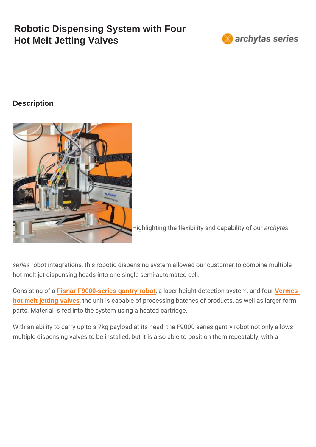## Robotic Dispensing System with Four Hot Melt Jetting Valves

**Description** 

Highlighting the flexibility anadchytaspabilit

series robot integrations, this robotic dispensing system allowed our hot melt jet dispensing heads into one single semi-automated cell.

Consistin Fisnar Fe9000-series gantry robot, a laser height detection Seymsetsem, and four vermes considered in [hot melt jetting valves](https://www.intertronics.co.uk/product/mds3280-precision-microdispensing-jetting-valve/), the unit is capable of processing batches of produ parts. Material is fed into the system using a heated cartridge.

With an ability to carry up to a 7kg payload at its head, the F9000 multiple dispensing valves to be installed, but it is also able to po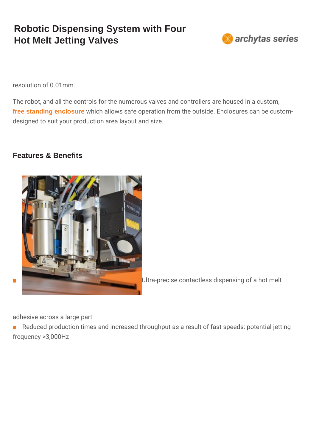## Robotic Dispensing System with Four Hot Melt Jetting Valves

resolution of 0.01mm.

The robot, and all the controls for the numerous valves and contro [free standing enclosure](https://www.intertronics.co.uk/product/robot-enclosures-benchtop-gantry-robots/) which allows safe operation from the outside. Enc designed to suit your production area layout and size.

Features & Benefits

 $\overline{\phantom{a}}$ 

Ultra-precise contactless dispensing c

adhesive across a large part

Reduced production times and increased throughput as a result of frequency >3,000Hz